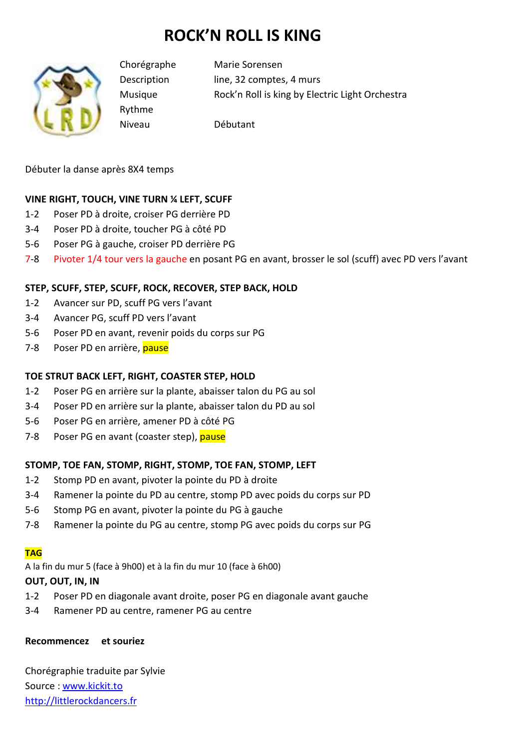# **ROCK'N ROLL IS KING**



Rythme

Chorégraphe Marie Sorensen Description line, 32 comptes, 4 murs Musique Rock'n Roll is king by Electric Light Orchestra

Niveau Débutant

Débuter la danse après 8X4 temps

## **VINE RIGHT, TOUCH, VINE TURN ¼ LEFT, SCUFF**

- 1-2 Poser PD à droite, croiser PG derrière PD
- 3-4 Poser PD à droite, toucher PG à côté PD
- 5-6 Poser PG à gauche, croiser PD derrière PG
- 7-8 Pivoter 1/4 tour vers la gauche en posant PG en avant, brosser le sol (scuff) avec PD vers l'avant

## **STEP, SCUFF, STEP, SCUFF, ROCK, RECOVER, STEP BACK, HOLD**

- 1-2 Avancer sur PD, scuff PG vers l'avant
- 3-4 Avancer PG, scuff PD vers l'avant
- 5-6 Poser PD en avant, revenir poids du corps sur PG
- 7-8 Poser PD en arrière, pause

## **TOE STRUT BACK LEFT, RIGHT, COASTER STEP, HOLD**

- 1-2 Poser PG en arrière sur la plante, abaisser talon du PG au sol
- 3-4 Poser PD en arrière sur la plante, abaisser talon du PD au sol
- 5-6 Poser PG en arrière, amener PD à côté PG
- 7-8 Poser PG en avant (coaster step), pause

#### **STOMP, TOE FAN, STOMP, RIGHT, STOMP, TOE FAN, STOMP, LEFT**

- 1-2 Stomp PD en avant, pivoter la pointe du PD à droite
- 3-4 Ramener la pointe du PD au centre, stomp PD avec poids du corps sur PD
- 5-6 Stomp PG en avant, pivoter la pointe du PG à gauche
- 7-8 Ramener la pointe du PG au centre, stomp PG avec poids du corps sur PG

#### **TAG**

A la fin du mur 5 (face à 9h00) et à la fin du mur 10 (face à 6h00)

#### **OUT, OUT, IN, IN**

- 1-2 Poser PD en diagonale avant droite, poser PG en diagonale avant gauche
- 3-4 Ramener PD au centre, ramener PG au centre

#### **Recommencez et souriez**

Chorégraphie traduite par Sylvie Source : www.kickit.to http://littlerockdancers.fr